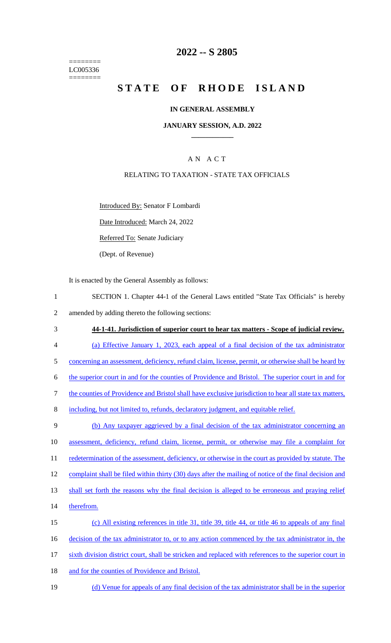======== LC005336 ========

## **2022 -- S 2805**

# **STATE OF RHODE ISLAND**

#### **IN GENERAL ASSEMBLY**

#### **JANUARY SESSION, A.D. 2022 \_\_\_\_\_\_\_\_\_\_\_\_**

### A N A C T

#### RELATING TO TAXATION - STATE TAX OFFICIALS

Introduced By: Senator F Lombardi

Date Introduced: March 24, 2022

Referred To: Senate Judiciary

(Dept. of Revenue)

It is enacted by the General Assembly as follows:

- 1 SECTION 1. Chapter 44-1 of the General Laws entitled "State Tax Officials" is hereby 2 amended by adding thereto the following sections:
- 3 **44-1-41. Jurisdiction of superior court to hear tax matters - Scope of judicial review.** 4 (a) Effective January 1, 2023, each appeal of a final decision of the tax administrator 5 concerning an assessment, deficiency, refund claim, license, permit, or otherwise shall be heard by 6 the superior court in and for the counties of Providence and Bristol. The superior court in and for 7 the counties of Providence and Bristol shall have exclusive jurisdiction to hear all state tax matters, 8 including, but not limited to, refunds, declaratory judgment, and equitable relief. 9 (b) Any taxpayer aggrieved by a final decision of the tax administrator concerning an 10 assessment, deficiency, refund claim, license, permit, or otherwise may file a complaint for 11 redetermination of the assessment, deficiency, or otherwise in the court as provided by statute. The 12 complaint shall be filed within thirty (30) days after the mailing of notice of the final decision and 13 shall set forth the reasons why the final decision is alleged to be erroneous and praying relief 14 therefrom. 15 (c) All existing references in title 31, title 39, title 44, or title 46 to appeals of any final 16 decision of the tax administrator to, or to any action commenced by the tax administrator in, the 17 sixth division district court, shall be stricken and replaced with references to the superior court in
- 18 and for the counties of Providence and Bristol.
- 19 (d) Venue for appeals of any final decision of the tax administrator shall be in the superior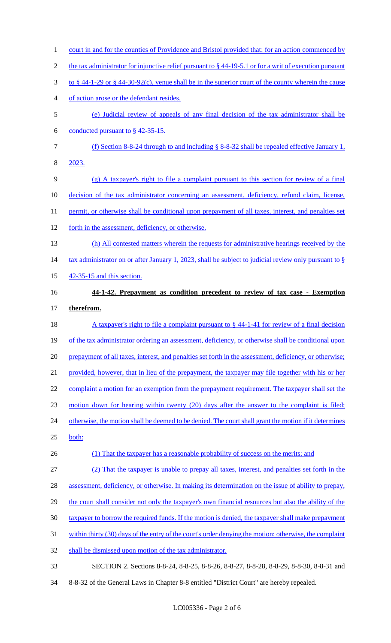1 court in and for the counties of Providence and Bristol provided that: for an action commenced by 2 the tax administrator for injunctive relief pursuant to § 44-19-5.1 or for a writ of execution pursuant 3 to § 44-1-29 or § 44-30-92(c), venue shall be in the superior court of the county wherein the cause 4 of action arose or the defendant resides. 5 (e) Judicial review of appeals of any final decision of the tax administrator shall be 6 conducted pursuant to  $§$  42-35-15. 7 (f) Section 8-8-24 through to and including § 8-8-32 shall be repealed effective January 1, 8 2023. 9 (g) A taxpayer's right to file a complaint pursuant to this section for review of a final 10 decision of the tax administrator concerning an assessment, deficiency, refund claim, license, 11 permit, or otherwise shall be conditional upon prepayment of all taxes, interest, and penalties set 12 forth in the assessment, deficiency, or otherwise. 13 (h) All contested matters wherein the requests for administrative hearings received by the 14 tax administrator on or after January 1, 2023, shall be subject to judicial review only pursuant to § 15 42-35-15 and this section. 16 **44-1-42. Prepayment as condition precedent to review of tax case - Exemption** 17 **therefrom.** 18 A taxpayer's right to file a complaint pursuant to § 44-1-41 for review of a final decision 19 of the tax administrator ordering an assessment, deficiency, or otherwise shall be conditional upon 20 prepayment of all taxes, interest, and penalties set forth in the assessment, deficiency, or otherwise; 21 provided, however, that in lieu of the prepayment, the taxpayer may file together with his or her 22 complaint a motion for an exemption from the prepayment requirement. The taxpayer shall set the 23 motion down for hearing within twenty (20) days after the answer to the complaint is filed; 24 otherwise, the motion shall be deemed to be denied. The court shall grant the motion if it determines 25 both: 26 (1) That the taxpayer has a reasonable probability of success on the merits; and 27 (2) That the taxpayer is unable to prepay all taxes, interest, and penalties set forth in the 28 assessment, deficiency, or otherwise. In making its determination on the issue of ability to prepay, 29 the court shall consider not only the taxpayer's own financial resources but also the ability of the 30 taxpayer to borrow the required funds. If the motion is denied, the taxpayer shall make prepayment 31 within thirty (30) days of the entry of the court's order denying the motion; otherwise, the complaint 32 shall be dismissed upon motion of the tax administrator. 33 SECTION 2. Sections 8-8-24, 8-8-25, 8-8-26, 8-8-27, 8-8-28, 8-8-29, 8-8-30, 8-8-31 and 34 8-8-32 of the General Laws in Chapter 8-8 entitled "District Court" are hereby repealed.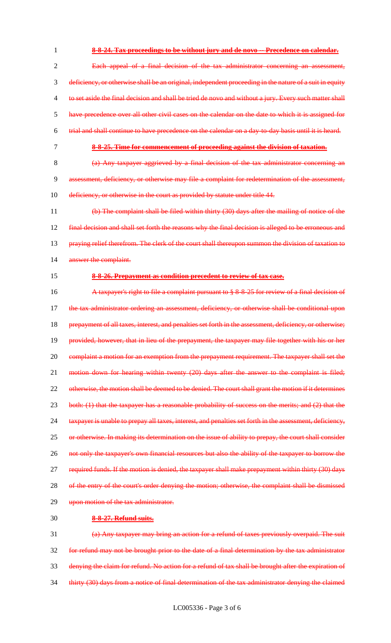**8-8-24. Tax proceedings to be without jury and de novo -- Precedence on calendar.** Each appeal of a final decision of the tax administrator concerning an assessment, deficiency, or otherwise shall be an original, independent proceeding in the nature of a suit in equity to set aside the final decision and shall be tried de novo and without a jury. Every such matter shall have precedence over all other civil cases on the calendar on the date to which it is assigned for trial and shall continue to have precedence on the calendar on a day-to-day basis until it is heard. **8-8-25. Time for commencement of proceeding against the division of taxation.**

8 (a) Any taxpayer aggrieved by a final decision of the tax administrator concerning an 9 assessment, deficiency, or otherwise may file a complaint for redetermination of the assessment, 10 deficiency, or otherwise in the court as provided by statute under title 44.

11 (b) The complaint shall be filed within thirty (30) days after the mailing of notice of the 12 final decision and shall set forth the reasons why the final decision is alleged to be erroneous and 13 praying relief therefrom. The clerk of the court shall thereupon summon the division of taxation to 14 answer the complaint.

#### 15 **8-8-26. Prepayment as condition precedent to review of tax case.**

16 A taxpayer's right to file a complaint pursuant to § 8-8-25 for review of a final decision of 17 the tax administrator ordering an assessment, deficiency, or otherwise shall be conditional upon 18 prepayment of all taxes, interest, and penalties set forth in the assessment, deficiency, or otherwise; 19 provided, however, that in lieu of the prepayment, the taxpayer may file together with his or her 20 complaint a motion for an exemption from the prepayment requirement. The taxpayer shall set the 21 motion down for hearing within twenty (20) days after the answer to the complaint is filed; 22 otherwise, the motion shall be deemed to be denied. The court shall grant the motion if it determines 23 both: (1) that the taxpayer has a reasonable probability of success on the merits; and (2) that the 24 taxpayer is unable to prepay all taxes, interest, and penalties set forth in the assessment, deficiency, 25 or otherwise. In making its determination on the issue of ability to prepay, the court shall consider 26 not only the taxpayer's own financial resources but also the ability of the taxpayer to borrow the 27 required funds. If the motion is denied, the taxpayer shall make prepayment within thirty (30) days 28 of the entry of the court's order denying the motion; otherwise, the complaint shall be dismissed 29 upon motion of the tax administrator.

#### 30 **8-8-27. Refund suits.**

 (a) Any taxpayer may bring an action for a refund of taxes previously overpaid. The suit for refund may not be brought prior to the date of a final determination by the tax administrator denying the claim for refund. No action for a refund of tax shall be brought after the expiration of 34 thirty (30) days from a notice of final determination of the tax administrator denying the claimed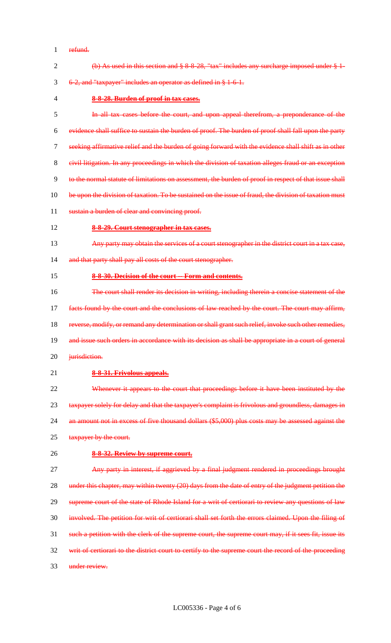refund.

| $\overline{2}$ | (b) As used in this section and $\S 8.8.28$ , "tax" includes any surcharge imposed under $\S 1$ -      |
|----------------|--------------------------------------------------------------------------------------------------------|
| 3              | 6-2, and "taxpayer" includes an operator as defined in § 1-6-1.                                        |
| $\overline{4}$ | 8-8-28. Burden of proof in tax cases.                                                                  |
| 5              | In all tax cases before the court, and upon appeal therefrom, a preponderance of the                   |
| 6              | evidence shall suffice to sustain the burden of proof. The burden of proof shall fall upon the party   |
| 7              | seeking affirmative relief and the burden of going forward with the evidence shall shift as in other   |
| 8              | civil litigation. In any proceedings in which the division of taxation alleges fraud or an exception   |
| 9              | to the normal statute of limitations on assessment, the burden of proof in respect of that issue shall |
| 10             | be upon the division of taxation. To be sustained on the issue of fraud, the division of taxation must |
| 11             | sustain a burden of clear and convincing proof.                                                        |
| 12             | 8-8-29. Court stenographer in tax cases.                                                               |
| 13             | Any party may obtain the services of a court stenographer in the district court in a tax case,         |
| 14             | and that party shall pay all costs of the court stenographer.                                          |
| 15             | 8-8-30. Decision of the court -- Form and contents.                                                    |
| 16             | The court shall render its decision in writing, including therein a concise statement of the           |
| 17             | facts found by the court and the conclusions of law reached by the court. The court may affirm,        |
| 18             | reverse, modify, or remand any determination or shall grant such relief, invoke such other remedies,   |
| 19             | and issue such orders in accordance with its decision as shall be appropriate in a court of general    |
| 20             | jurisdiction.                                                                                          |
| 21             | 8-8-31. Frivolous appeals.                                                                             |
| 22             | Whenever it appears to the court that proceedings before it have been instituted by the                |
| 23             | taxpayer solely for delay and that the taxpayer's complaint is frivolous and groundless, damages in    |
| 24             | an amount not in excess of five thousand dollars (\$5,000) plus costs may be assessed against the      |
| 25             | taxpayer by the court.                                                                                 |
| 26             | 8-8-32. Review by supreme court.                                                                       |
| 27             | Any party in interest, if aggrieved by a final judgment rendered in proceedings brought                |
| 28             | under this chapter, may within twenty (20) days from the date of entry of the judgment petition the    |
| 29             | supreme court of the state of Rhode Island for a writ of certiorari to review any questions of law     |
| 30             | involved. The petition for writ of certiorari shall set forth the errors claimed. Upon the filing of   |
| 31             | such a petition with the clerk of the supreme court, the supreme court may, if it sees fit, issue its  |
| 32             | writ of certiorari to the district court to certify to the supreme court the record of the proceeding  |
| 33             | under review.                                                                                          |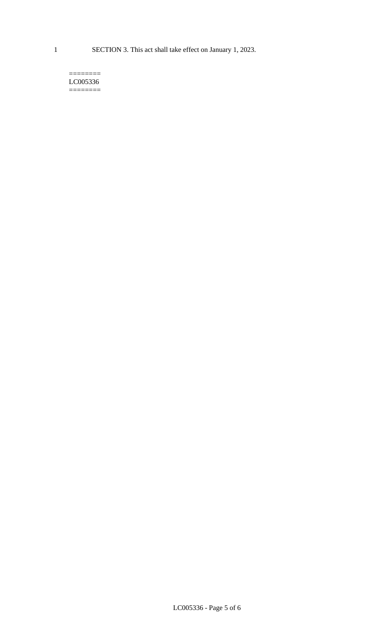1 SECTION 3. This act shall take effect on January 1, 2023.

#### $=$ LC005336 ========